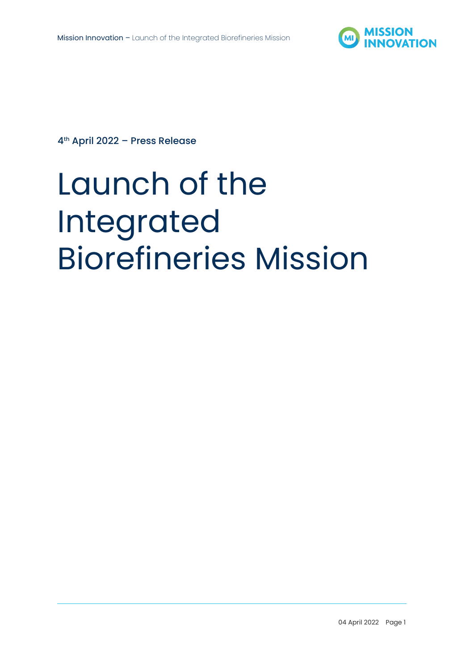

4 th April 2022 – Press Release

# Launch of the Integrated Biorefineries Mission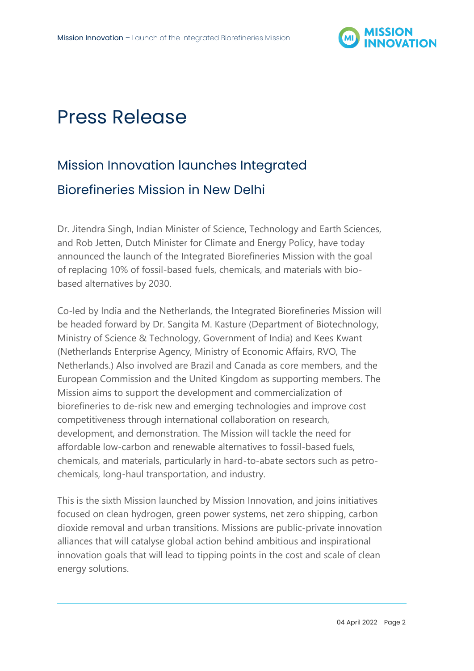

## Press Release

### Mission Innovation launches Integrated Biorefineries Mission in New Delhi

Dr. Jitendra Singh, Indian Minister of Science, Technology and Earth Sciences, and Rob Jetten, Dutch Minister for Climate and Energy Policy, have today announced the launch of the Integrated Biorefineries Mission with the goal of replacing 10% of fossil-based fuels, chemicals, and materials with biobased alternatives by 2030.

Co-led by India and the Netherlands, the Integrated Biorefineries Mission will be headed forward by Dr. Sangita M. Kasture (Department of Biotechnology, Ministry of Science & Technology, Government of India) and Kees Kwant (Netherlands Enterprise Agency, Ministry of Economic Affairs, RVO, The Netherlands.) Also involved are Brazil and Canada as core members, and the European Commission and the United Kingdom as supporting members. The Mission aims to support the development and commercialization of biorefineries to de-risk new and emerging technologies and improve cost competitiveness through international collaboration on research, development, and demonstration. The Mission will tackle the need for affordable low-carbon and renewable alternatives to fossil-based fuels, chemicals, and materials, particularly in hard-to-abate sectors such as petrochemicals, long-haul transportation, and industry.

This is the sixth Mission launched by Mission Innovation, and joins initiatives focused on clean hydrogen, green power systems, net zero shipping, carbon dioxide removal and urban transitions. Missions are public-private innovation alliances that will catalyse global action behind ambitious and inspirational innovation goals that will lead to tipping points in the cost and scale of clean energy solutions.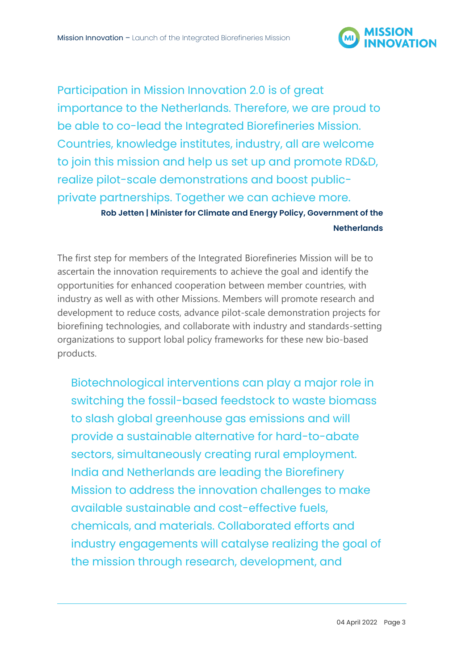

Participation in Mission Innovation 2.0 is of great importance to the Netherlands. Therefore, we are proud to be able to co-lead the Integrated Biorefineries Mission. Countries, knowledge institutes, industry, all are welcome to join this mission and help us set up and promote RD&D, realize pilot-scale demonstrations and boost publicprivate partnerships. Together we can achieve more.

> **Rob Jetten | Minister for Climate and Energy Policy, Government of the Netherlands**

The first step for members of the Integrated Biorefineries Mission will be to ascertain the innovation requirements to achieve the goal and identify the opportunities for enhanced cooperation between member countries, with industry as well as with other Missions. Members will promote research and development to reduce costs, advance pilot-scale demonstration projects for biorefining technologies, and collaborate with industry and standards-setting organizations to support lobal policy frameworks for these new bio-based products.

Biotechnological interventions can play a major role in switching the fossil-based feedstock to waste biomass to slash global greenhouse gas emissions and will provide a sustainable alternative for hard-to-abate sectors, simultaneously creating rural employment. India and Netherlands are leading the Biorefinery Mission to address the innovation challenges to make available sustainable and cost-effective fuels, chemicals, and materials. Collaborated efforts and industry engagements will catalyse realizing the goal of the mission through research, development, and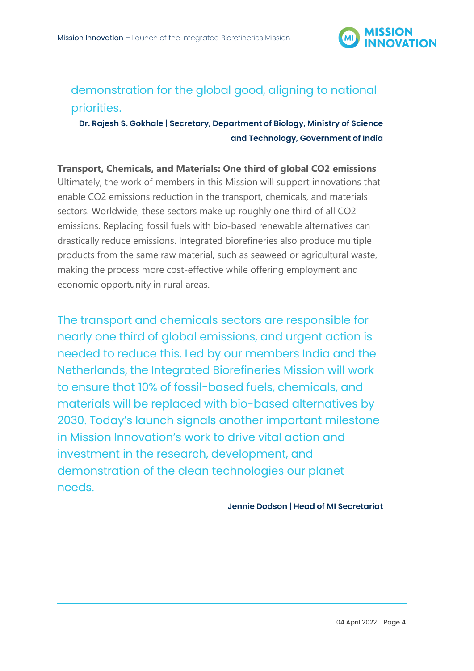

#### demonstration for the global good, aligning to national priorities.

**Dr. Rajesh S. Gokhale | Secretary, Department of Biology, Ministry of Science and Technology, Government of India**

**Transport, Chemicals, and Materials: One third of global CO2 emissions** Ultimately, the work of members in this Mission will support innovations that enable CO2 emissions reduction in the transport, chemicals, and materials sectors. Worldwide, these sectors make up roughly one third of all CO2 emissions. Replacing fossil fuels with bio-based renewable alternatives can drastically reduce emissions. Integrated biorefineries also produce multiple products from the same raw material, such as seaweed or agricultural waste, making the process more cost-effective while offering employment and economic opportunity in rural areas.

The transport and chemicals sectors are responsible for nearly one third of global emissions, and urgent action is needed to reduce this. Led by our members India and the Netherlands, the Integrated Biorefineries Mission will work to ensure that 10% of fossil-based fuels, chemicals, and materials will be replaced with bio-based alternatives by 2030. Today's launch signals another important milestone in Mission Innovation's work to drive vital action and investment in the research, development, and demonstration of the clean technologies our planet needs.

**Jennie Dodson | Head of MI Secretariat**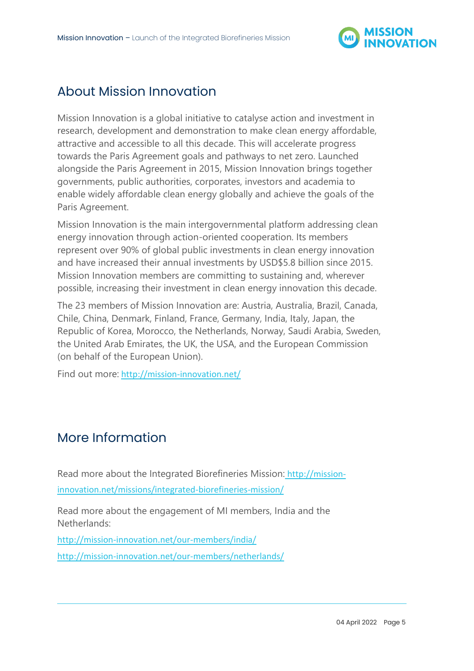

#### About Mission Innovation

Mission Innovation is a global initiative to catalyse action and investment in research, development and demonstration to make clean energy affordable, attractive and accessible to all this decade. This will accelerate progress towards the Paris Agreement goals and pathways to net zero. Launched alongside the Paris Agreement in 2015, Mission Innovation brings together governments, public authorities, corporates, investors and academia to enable widely affordable clean energy globally and achieve the goals of the Paris Agreement.

Mission Innovation is the main intergovernmental platform addressing clean energy innovation through action-oriented cooperation. Its members represent over 90% of global public investments in clean energy innovation and have increased their annual investments by USD\$5.8 billion since 2015. Mission Innovation members are committing to sustaining and, wherever possible, increasing their investment in clean energy innovation this decade.

The 23 members of Mission Innovation are: Austria, Australia, Brazil, Canada, Chile, China, Denmark, Finland, France, Germany, India, Italy, Japan, the Republic of Korea, Morocco, the Netherlands, Norway, Saudi Arabia, Sweden, the United Arab Emirates, the UK, the USA, and the European Commission (on behalf of the European Union).

Find out more: <http://mission-innovation.net/>

#### More Information

Read more about the Integrated Biorefineries Mission: [http://mission](http://mission-innovation.net/missions/integrated-biorefineries-mission/)[innovation.net/missions/integrated-biorefineries-mission/](http://mission-innovation.net/missions/integrated-biorefineries-mission/)

Read more about the engagement of MI members, India and the Netherlands:

<http://mission-innovation.net/our-members/india/> <http://mission-innovation.net/our-members/netherlands/>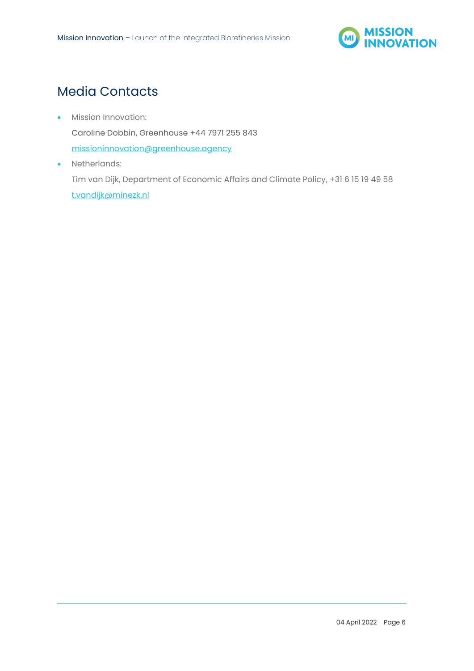

#### Media Contacts

- Mission Innovation: Caroline Dobbin, Greenhouse +44 7971 255 843 [missioninnovation@greenhouse.agency](mailto:missioninnovation@greenhouse.agency)
- Netherlands: Tim van Dijk, Department of Economic Affairs and Climate Policy, +31 6 15 19 49 58 [t.vandijk@minezk.nl](mailto:t.vandijk@minezk.nl)